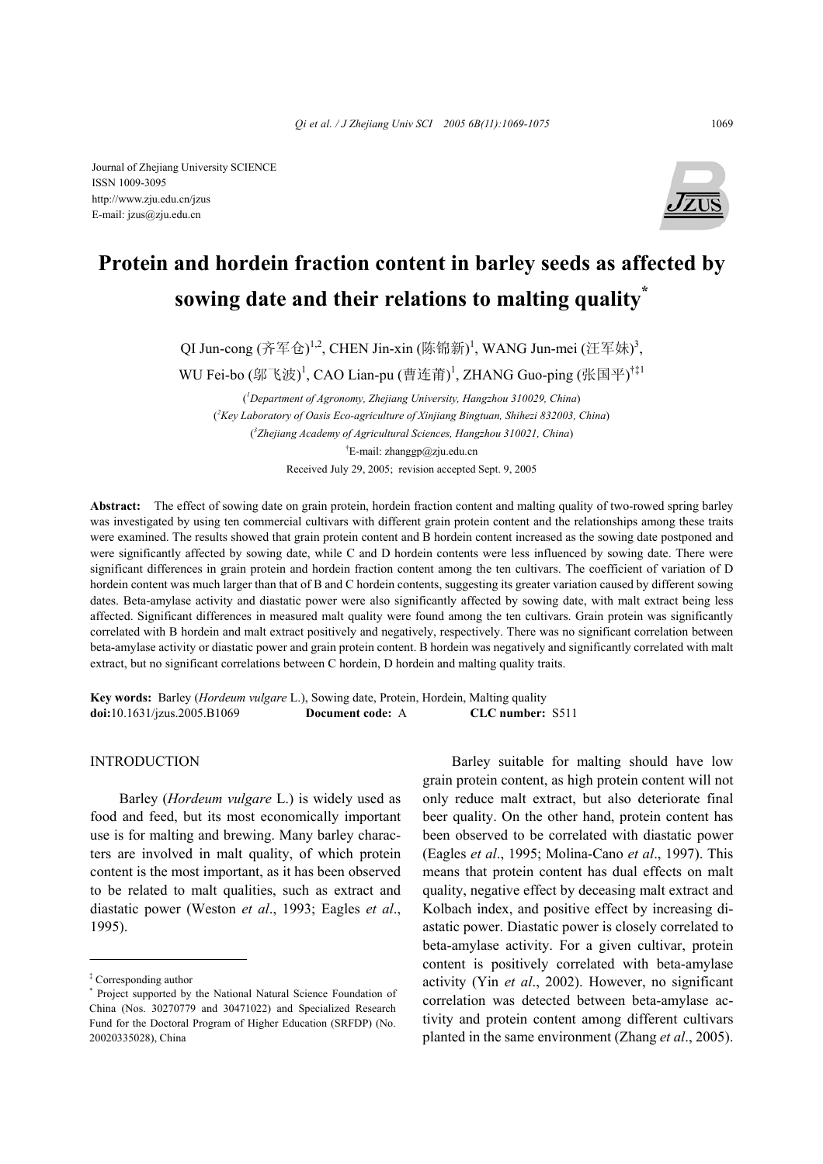

# **Protein and hordein fraction content in barley seeds as affected by sowing date and their relations to malting quality\***

QI Jun-cong (齐军仓)<sup>1,2</sup>, CHEN Jin-xin (陈锦新)<sup>1</sup>, WANG Jun-mei (汪军妹)<sup>3</sup>,

WU Fei-bo (邬飞波)<sup>1</sup>, CAO Lian-pu (曹连莆)<sup>1</sup>, ZHANG Guo-ping (张国平)<sup>†‡1</sup>

( *1 Department of Agronomy, Zhejiang University, Hangzhou 310029, China*) ( *2 Key Laboratory of Oasis Eco-agriculture of Xinjiang Bingtuan, Shihezi 832003, China*) ( *3 Zhejiang Academy of Agricultural Sciences, Hangzhou 310021, China*) † E-mail: zhanggp@zju.edu.cn

Received July 29, 2005; revision accepted Sept. 9, 2005

**Abstract:** The effect of sowing date on grain protein, hordein fraction content and malting quality of two-rowed spring barley was investigated by using ten commercial cultivars with different grain protein content and the relationships among these traits were examined. The results showed that grain protein content and B hordein content increased as the sowing date postponed and were significantly affected by sowing date, while C and D hordein contents were less influenced by sowing date. There were significant differences in grain protein and hordein fraction content among the ten cultivars. The coefficient of variation of D hordein content was much larger than that of B and C hordein contents, suggesting its greater variation caused by different sowing dates. Beta-amylase activity and diastatic power were also significantly affected by sowing date, with malt extract being less affected. Significant differences in measured malt quality were found among the ten cultivars. Grain protein was significantly correlated with B hordein and malt extract positively and negatively, respectively. There was no significant correlation between beta-amylase activity or diastatic power and grain protein content. B hordein was negatively and significantly correlated with malt extract, but no significant correlations between C hordein, D hordein and malting quality traits.

**Key words:** Barley (*Hordeum vulgare* L.), Sowing date, Protein, Hordein, Malting quality **doi:**10.1631/jzus.2005.B1069 **Document code:** A **CLC number:** S511

## INTRODUCTION

Barley (*Hordeum vulgare* L.) is widely used as food and feed, but its most economically important use is for malting and brewing. Many barley characters are involved in malt quality, of which protein content is the most important, as it has been observed to be related to malt qualities, such as extract and diastatic power (Weston *et al*., 1993; Eagles *et al*., 1995).

Barley suitable for malting should have low grain protein content, as high protein content will not only reduce malt extract, but also deteriorate final beer quality. On the other hand, protein content has been observed to be correlated with diastatic power (Eagles *et al*., 1995; Molina-Cano *et al*., 1997). This means that protein content has dual effects on malt quality, negative effect by deceasing malt extract and Kolbach index, and positive effect by increasing diastatic power. Diastatic power is closely correlated to beta-amylase activity. For a given cultivar, protein content is positively correlated with beta-amylase activity (Yin *et al*., 2002). However, no significant correlation was detected between beta-amylase activity and protein content among different cultivars planted in the same environment (Zhang *et al*., 2005).

<sup>‡</sup> Corresponding author

<sup>\*</sup> Project supported by the National Natural Science Foundation of China (Nos. 30270779 and 30471022) and Specialized Research Fund for the Doctoral Program of Higher Education (SRFDP) (No. 20020335028), China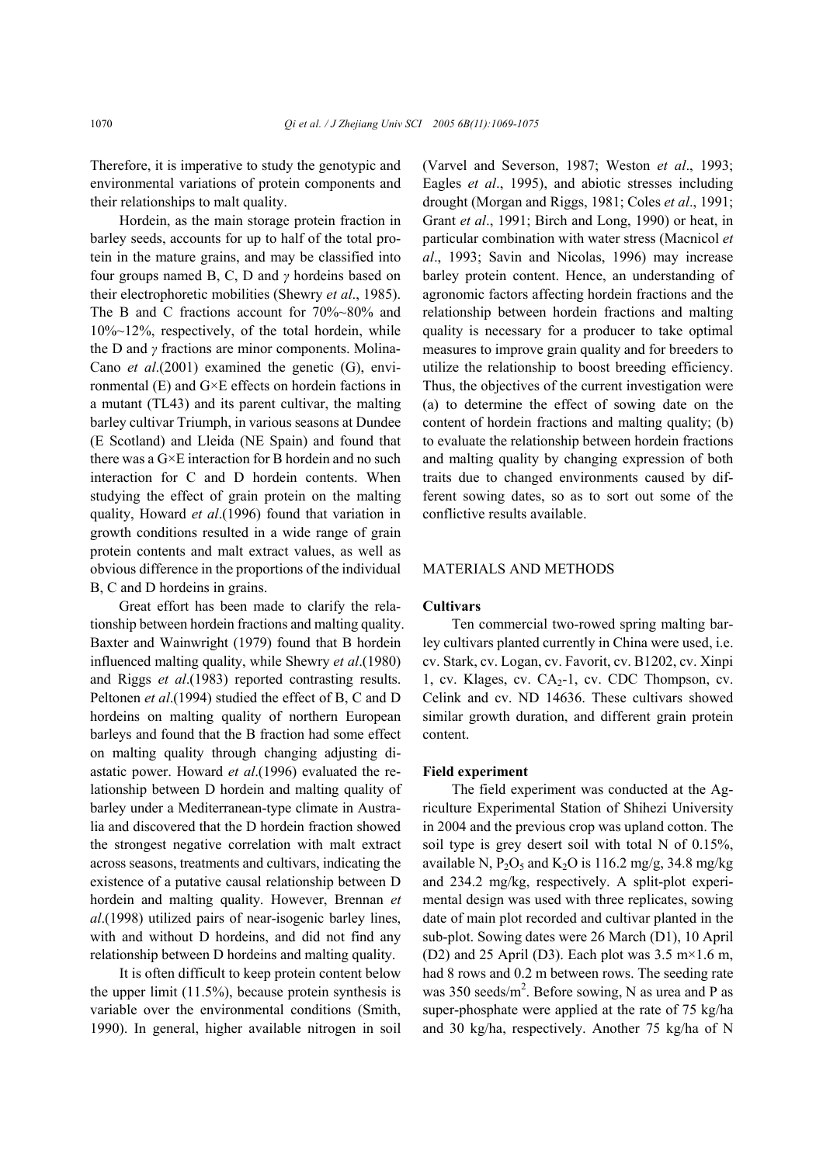Therefore, it is imperative to study the genotypic and environmental variations of protein components and their relationships to malt quality.

Hordein, as the main storage protein fraction in barley seeds, accounts for up to half of the total protein in the mature grains, and may be classified into four groups named B, C, D and *γ* hordeins based on their electrophoretic mobilities (Shewry *et al*., 1985). The B and C fractions account for 70%~80% and 10%~12%, respectively, of the total hordein, while the D and *γ* fractions are minor components. Molina-Cano *et al*.(2001) examined the genetic (G), environmental (E) and G×E effects on hordein factions in a mutant (TL43) and its parent cultivar, the malting barley cultivar Triumph, in various seasons at Dundee (E Scotland) and Lleida (NE Spain) and found that there was a G×E interaction for B hordein and no such interaction for C and D hordein contents. When studying the effect of grain protein on the malting quality, Howard *et al*.(1996) found that variation in growth conditions resulted in a wide range of grain protein contents and malt extract values, as well as obvious difference in the proportions of the individual B, C and D hordeins in grains.

Great effort has been made to clarify the relationship between hordein fractions and malting quality. Baxter and Wainwright (1979) found that B hordein influenced malting quality, while Shewry *et al*.(1980) and Riggs *et al*.(1983) reported contrasting results. Peltonen *et al*.(1994) studied the effect of B, C and D hordeins on malting quality of northern European barleys and found that the B fraction had some effect on malting quality through changing adjusting diastatic power. Howard *et al*.(1996) evaluated the relationship between D hordein and malting quality of barley under a Mediterranean-type climate in Australia and discovered that the D hordein fraction showed the strongest negative correlation with malt extract across seasons, treatments and cultivars, indicating the existence of a putative causal relationship between D hordein and malting quality. However, Brennan *et al*.(1998) utilized pairs of near-isogenic barley lines, with and without D hordeins, and did not find any relationship between D hordeins and malting quality.

It is often difficult to keep protein content below the upper limit (11.5%), because protein synthesis is variable over the environmental conditions (Smith, 1990). In general, higher available nitrogen in soil (Varvel and Severson, 1987; Weston *et al*., 1993; Eagles *et al*., 1995), and abiotic stresses including drought (Morgan and Riggs, 1981; Coles *et al*., 1991; Grant *et al*., 1991; Birch and Long, 1990) or heat, in particular combination with water stress (Macnicol *et al*., 1993; Savin and Nicolas, 1996) may increase barley protein content. Hence, an understanding of agronomic factors affecting hordein fractions and the relationship between hordein fractions and malting quality is necessary for a producer to take optimal measures to improve grain quality and for breeders to utilize the relationship to boost breeding efficiency. Thus, the objectives of the current investigation were (a) to determine the effect of sowing date on the content of hordein fractions and malting quality; (b) to evaluate the relationship between hordein fractions and malting quality by changing expression of both traits due to changed environments caused by different sowing dates, so as to sort out some of the conflictive results available.

## MATERIALS AND METHODS

## **Cultivars**

Ten commercial two-rowed spring malting barley cultivars planted currently in China were used, i.e. cv. Stark, cv. Logan, cv. Favorit, cv. B1202, cv. Xinpi 1, cv. Klages, cv.  $CA<sub>2</sub>-1$ , cv. CDC Thompson, cv. Celink and cv. ND 14636. These cultivars showed similar growth duration, and different grain protein content.

#### **Field experiment**

The field experiment was conducted at the Agriculture Experimental Station of Shihezi University in 2004 and the previous crop was upland cotton. The soil type is grey desert soil with total N of 0.15%, available N,  $P_2O_5$  and  $K_2O$  is 116.2 mg/g, 34.8 mg/kg and 234.2 mg/kg, respectively. A split-plot experimental design was used with three replicates, sowing date of main plot recorded and cultivar planted in the sub-plot. Sowing dates were 26 March (D1), 10 April (D2) and 25 April (D3). Each plot was  $3.5 \text{ m} \times 1.6 \text{ m}$ , had 8 rows and 0.2 m between rows. The seeding rate was 350 seeds/ $m^2$ . Before sowing, N as urea and P as super-phosphate were applied at the rate of 75 kg/ha and 30 kg/ha, respectively. Another 75 kg/ha of N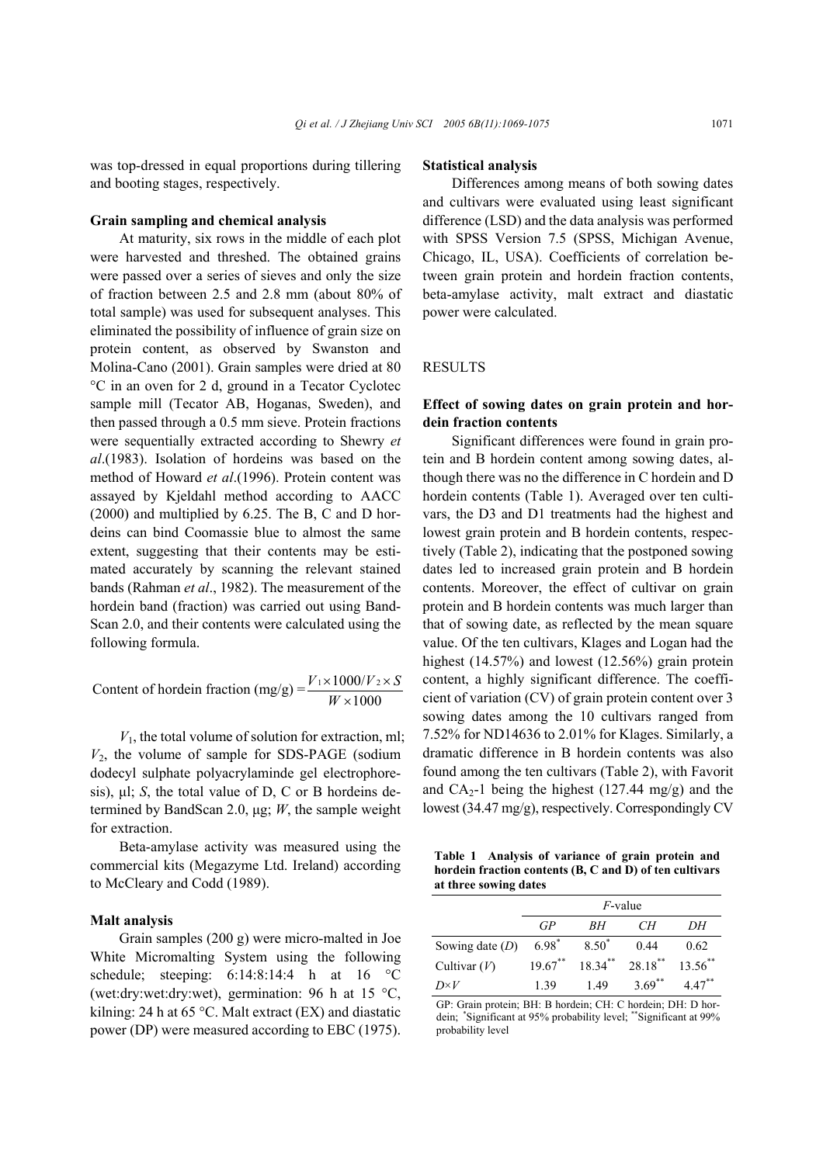was top-dressed in equal proportions during tillering and booting stages, respectively.

#### **Grain sampling and chemical analysis**

At maturity, six rows in the middle of each plot were harvested and threshed. The obtained grains were passed over a series of sieves and only the size of fraction between 2.5 and 2.8 mm (about 80% of total sample) was used for subsequent analyses. This eliminated the possibility of influence of grain size on protein content, as observed by Swanston and Molina-Cano (2001). Grain samples were dried at 80 °C in an oven for 2 d, ground in a Tecator Cyclotec sample mill (Tecator AB, Hoganas, Sweden), and then passed through a 0.5 mm sieve. Protein fractions were sequentially extracted according to Shewry *et al*.(1983). Isolation of hordeins was based on the method of Howard *et al*.(1996). Protein content was assayed by Kjeldahl method according to AACC (2000) and multiplied by 6.25. The B, C and D hordeins can bind Coomassie blue to almost the same extent, suggesting that their contents may be estimated accurately by scanning the relevant stained bands (Rahman *et al*., 1982). The measurement of the hordein band (fraction) was carried out using Band-Scan 2.0, and their contents were calculated using the following formula.

Content of hordein fraction (mg/g) =  $\frac{V_1 \times 1000}{W_1 \times 1000}$ *W*  $\times 1000$ / $V_2\times$ ×

 $V_1$ , the total volume of solution for extraction, ml;  $V_2$ , the volume of sample for SDS-PAGE (sodium dodecyl sulphate polyacrylaminde gel electrophoresis), µl; *S*, the total value of D, C or B hordeins determined by BandScan 2.0, µg; *W*, the sample weight for extraction.

Beta-amylase activity was measured using the commercial kits (Megazyme Ltd. Ireland) according to McCleary and Codd (1989).

## **Malt analysis**

Grain samples (200 g) were micro-malted in Joe White Micromalting System using the following schedule; steeping:  $6:14:8:14:4$  h at  $16^{\circ}$ C (wet:dry:wet:dry:wet), germination: 96 h at 15  $^{\circ}$ C, kilning: 24 h at 65 °C. Malt extract  $(EX)$  and diastatic power (DP) were measured according to EBC (1975).

#### **Statistical analysis**

Differences among means of both sowing dates and cultivars were evaluated using least significant difference (LSD) and the data analysis was performed with SPSS Version 7.5 (SPSS, Michigan Avenue, Chicago, IL, USA). Coefficients of correlation between grain protein and hordein fraction contents, beta-amylase activity, malt extract and diastatic power were calculated.

#### RESULTS

## **Effect of sowing dates on grain protein and hordein fraction contents**

Significant differences were found in grain protein and B hordein content among sowing dates, although there was no the difference in C hordein and D hordein contents (Table 1). Averaged over ten cultivars, the D3 and D1 treatments had the highest and lowest grain protein and B hordein contents, respectively (Table 2), indicating that the postponed sowing dates led to increased grain protein and B hordein contents. Moreover, the effect of cultivar on grain protein and B hordein contents was much larger than that of sowing date, as reflected by the mean square value. Of the ten cultivars, Klages and Logan had the highest (14.57%) and lowest (12.56%) grain protein content, a highly significant difference. The coefficient of variation (CV) of grain protein content over 3 sowing dates among the 10 cultivars ranged from 7.52% for ND14636 to 2.01% for Klages. Similarly, a dramatic difference in B hordein contents was also found among the ten cultivars (Table 2), with Favorit and  $CA_{2}$ -1 being the highest (127.44 mg/g) and the lowest (34.47 mg/g), respectively. Correspondingly CV

**Table 1 Analysis of variance of grain protein and hordein fraction contents (B, C and D) of ten cultivars at three sowing dates** 

|                   | $F$ -value |            |                      |                       |  |  |  |
|-------------------|------------|------------|----------------------|-----------------------|--|--|--|
|                   | GP         | BН         | CН                   | DН                    |  |  |  |
| Sowing date $(D)$ | $6.98*$    | $8.50*$    | 0.44                 | 0.62                  |  |  |  |
| Cultivar $(V)$    | $19.67***$ | $18.34***$ | $28.18***$           | $13.56$ <sup>**</sup> |  |  |  |
| $D \times V$      | 139        | 149        | $3.69$ <sup>**</sup> | $4.47***$             |  |  |  |

GP: Grain protein; BH: B hordein; CH: C hordein; DH: D hordein; \*Significant at 95% probability level; \*\*Significant at 99% probability level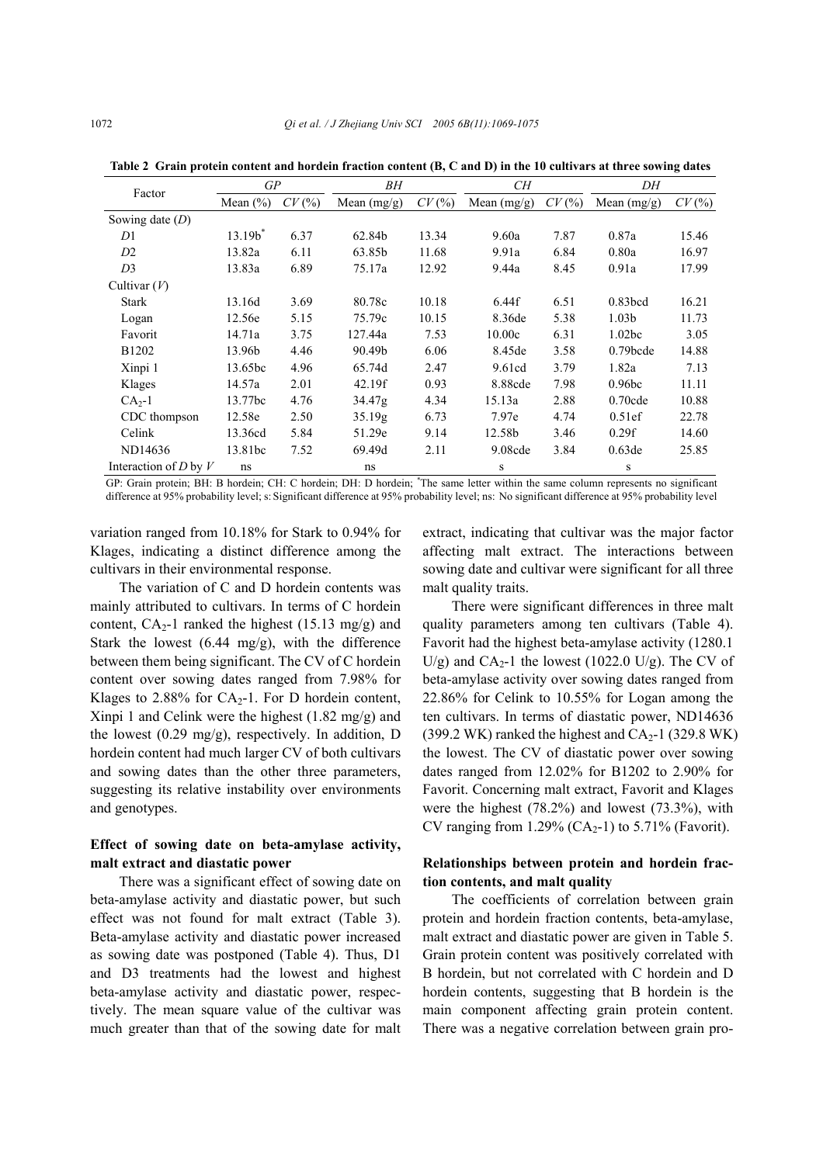| Factor                    | GP           |       | BН            |       | CН            |       | DΗ                |          |
|---------------------------|--------------|-------|---------------|-------|---------------|-------|-------------------|----------|
|                           | Mean $(\% )$ | CV(%) | Mean $(mg/g)$ | CV(%) | Mean $(mg/g)$ | CV(%) | Mean $(mg/g)$     | $CV(\%)$ |
| Sowing date $(D)$         |              |       |               |       |               |       |                   |          |
| D <sub>1</sub>            | $13.19b*$    | 6.37  | 62.84b        | 13.34 | 9.60a         | 7.87  | 0.87a             | 15.46    |
| D2                        | 13.82a       | 6.11  | 63.85b        | 11.68 | 9.91a         | 6.84  | 0.80a             | 16.97    |
| D <sub>3</sub>            | 13.83a       | 6.89  | 75.17a        | 12.92 | 9.44a         | 8.45  | 0.91a             | 17.99    |
| Cultivar $(V)$            |              |       |               |       |               |       |                   |          |
| <b>Stark</b>              | 13.16d       | 3.69  | 80.78c        | 10.18 | 6.44f         | 6.51  | $0.83$ bcd        | 16.21    |
| Logan                     | 12.56e       | 5.15  | 75.79c        | 10.15 | 8.36de        | 5.38  | 1.03 <sub>b</sub> | 11.73    |
| Favorit                   | 14.71a       | 3.75  | 127.44a       | 7.53  | 10.00c        | 6.31  | 1.02bc            | 3.05     |
| B <sub>1202</sub>         | 13.96b       | 4.46  | 90.49b        | 6.06  | 8.45de        | 3.58  | $0.79$ bcde       | 14.88    |
| Xinpi 1                   | 13.65bc      | 4.96  | 65.74d        | 2.47  | 9.61cd        | 3.79  | 1.82a             | 7.13     |
| Klages                    | 14.57a       | 2.01  | 42.19f        | 0.93  | 8.88cde       | 7.98  | 0.96 <sub>b</sub> | 11.11    |
| $CA2-1$                   | 13.77bc      | 4.76  | 34.47g        | 4.34  | 15.13a        | 2.88  | $0.70$ cde        | 10.88    |
| CDC thompson              | 12.58e       | 2.50  | 35.19g        | 6.73  | 7.97e         | 4.74  | 0.51ef            | 22.78    |
| Celink                    | 13.36cd      | 5.84  | 51.29e        | 9.14  | 12.58b        | 3.46  | 0.29f             | 14.60    |
| ND14636                   | 13.81bc      | 7.52  | 69.49d        | 2.11  | 9.08cde       | 3.84  | 0.63de            | 25.85    |
| Interaction of $D$ by $V$ | ns           |       | ns            |       | S             |       | S                 |          |

**Table 2 Grain protein content and hordein fraction content (B, C and D) in the 10 cultivars at three sowing dates** 

GP: Grain protein; BH: B hordein; CH: C hordein; DH: D hordein; \* The same letter within the same column represents no significant difference at 95% probability level; s: Significant difference at 95% probability level; ns: No significant difference at 95% probability level

variation ranged from 10.18% for Stark to 0.94% for Klages, indicating a distinct difference among the cultivars in their environmental response.

The variation of C and D hordein contents was mainly attributed to cultivars. In terms of C hordein content,  $CA_2-1$  ranked the highest (15.13 mg/g) and Stark the lowest (6.44 mg/g), with the difference between them being significant. The CV of C hordein content over sowing dates ranged from 7.98% for Klages to 2.88% for  $CA<sub>2</sub>-1$ . For D hordein content, Xinpi 1 and Celink were the highest (1.82 mg/g) and the lowest (0.29 mg/g), respectively. In addition, D hordein content had much larger CV of both cultivars and sowing dates than the other three parameters, suggesting its relative instability over environments and genotypes.

## **Effect of sowing date on beta-amylase activity, malt extract and diastatic power**

There was a significant effect of sowing date on beta-amylase activity and diastatic power, but such effect was not found for malt extract (Table 3). Beta-amylase activity and diastatic power increased as sowing date was postponed (Table 4). Thus, D1 and D3 treatments had the lowest and highest beta-amylase activity and diastatic power, respectively. The mean square value of the cultivar was much greater than that of the sowing date for malt extract, indicating that cultivar was the major factor affecting malt extract. The interactions between sowing date and cultivar were significant for all three malt quality traits.

There were significant differences in three malt quality parameters among ten cultivars (Table 4). Favorit had the highest beta-amylase activity (1280.1 U/g) and  $CA<sub>2</sub>$ -1 the lowest (1022.0 U/g). The CV of beta-amylase activity over sowing dates ranged from 22.86% for Celink to 10.55% for Logan among the ten cultivars. In terms of diastatic power, ND14636 (399.2 WK) ranked the highest and  $CA<sub>2</sub>$ -1 (329.8 WK) the lowest. The CV of diastatic power over sowing dates ranged from 12.02% for B1202 to 2.90% for Favorit. Concerning malt extract, Favorit and Klages were the highest (78.2%) and lowest (73.3%), with CV ranging from 1.29% (CA<sub>2</sub>-1) to 5.71% (Favorit).

## **Relationships between protein and hordein fraction contents, and malt quality**

The coefficients of correlation between grain protein and hordein fraction contents, beta-amylase, malt extract and diastatic power are given in Table 5. Grain protein content was positively correlated with B hordein, but not correlated with C hordein and D hordein contents, suggesting that B hordein is the main component affecting grain protein content. There was a negative correlation between grain pro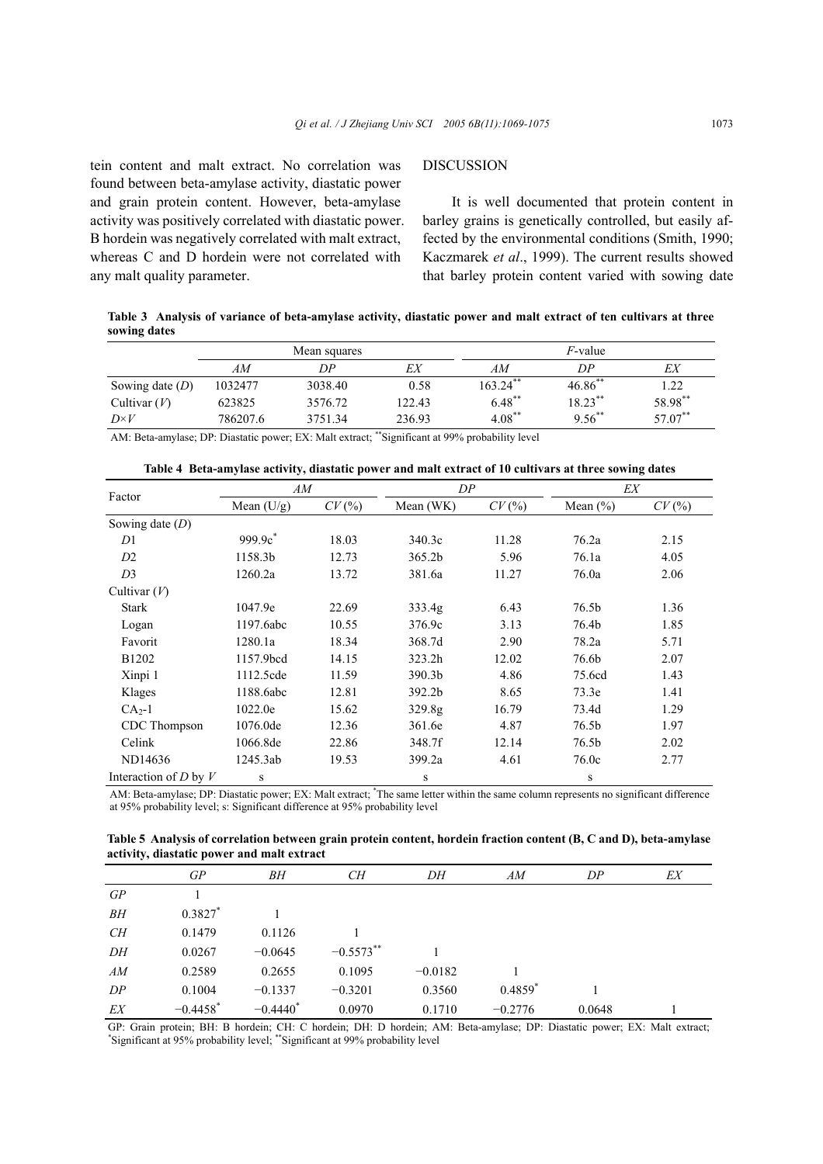tein content and malt extract. No correlation was found between beta-amylase activity, diastatic power and grain protein content. However, beta-amylase activity was positively correlated with diastatic power. B hordein was negatively correlated with malt extract, whereas C and D hordein were not correlated with any malt quality parameter.

## DISCUSSION

It is well documented that protein content in barley grains is genetically controlled, but easily affected by the environmental conditions (Smith, 1990; Kaczmarek *et al*., 1999). The current results showed that barley protein content varied with sowing date

**Table 3 Analysis of variance of beta-amylase activity, diastatic power and malt extract of ten cultivars at three sowing dates** 

|                   |             | Mean squares |                                                      | <i>F</i> -value |            |            |  |
|-------------------|-------------|--------------|------------------------------------------------------|-----------------|------------|------------|--|
|                   | AМ          | DΡ           | EX                                                   | AМ              | DP         | ЕX         |  |
| Sowing date $(D)$ | 1032477     | 3038.40      | 0.58                                                 | $163.24***$     | $46.86$ ** | 1.22       |  |
| Cultivar $(V)$    | 623825      | 3576.72      | 122.43                                               | $6.48$ **       | $18.23***$ | 58.98**    |  |
| $D\times V$       | 786207.6    | 3751.34      | 236.93                                               | $4.08***$       | $9.56$ **  | $57.07***$ |  |
| .                 | _ _ _ . _ . | ______       | <b>RR</b> = 2 (2) 2 (2) 2 (2) 2 (2) 2 (2) 2 (2)<br>. |                 |            |            |  |

AM: Beta-amylase; DP: Diastatic power; EX: Malt extract; \*\*Significant at 99% probability level

|  |  |  | Table 4 Beta-amylase activity, diastatic power and malt extract of 10 cultivars at three sowing dates |
|--|--|--|-------------------------------------------------------------------------------------------------------|
|  |  |  |                                                                                                       |

| Factor                    | AM                  |       | DP                 |       | EX           |       |
|---------------------------|---------------------|-------|--------------------|-------|--------------|-------|
|                           | Mean $(U/g)$        | CV(%) | Mean (WK)          | CV(%) | Mean $(\% )$ | CV(%) |
| Sowing date $(D)$         |                     |       |                    |       |              |       |
| D <sub>1</sub>            | 999.9c <sup>*</sup> | 18.03 | 340.3c             | 11.28 | 76.2a        | 2.15  |
| D2                        | 1158.3b             | 12.73 | 365.2 <sub>b</sub> | 5.96  | 76.1a        | 4.05  |
| D <sub>3</sub>            | 1260.2a             | 13.72 | 381.6a             | 11.27 | 76.0a        | 2.06  |
| Cultivar $(V)$            |                     |       |                    |       |              |       |
| Stark                     | 1047.9e             | 22.69 | 333.4 <sub>g</sub> | 6.43  | 76.5b        | 1.36  |
| Logan                     | 1197.6abc           | 10.55 | 376.9c             | 3.13  | 76.4b        | 1.85  |
| Favorit                   | 1280.1a             | 18.34 | 368.7d             | 2.90  | 78.2a        | 5.71  |
| B1202                     | 1157.9bcd           | 14.15 | 323.2h             | 12.02 | 76.6b        | 2.07  |
| Xinpi 1                   | 1112.5cde           | 11.59 | 390.3 <sub>b</sub> | 4.86  | 75.6cd       | 1.43  |
| Klages                    | 1188.6abc           | 12.81 | 392.2b             | 8.65  | 73.3e        | 1.41  |
| $CA2-1$                   | 1022.0e             | 15.62 | 329.8g             | 16.79 | 73.4d        | 1.29  |
| CDC Thompson              | 1076.0de            | 12.36 | 361.6e             | 4.87  | 76.5b        | 1.97  |
| Celink                    | 1066.8de            | 22.86 | 348.7f             | 12.14 | 76.5b        | 2.02  |
| ND14636                   | 1245.3ab            | 19.53 | 399.2a             | 4.61  | 76.0c        | 2.77  |
| Interaction of $D$ by $V$ | ${\bf S}$           |       | S                  |       | S            |       |

AM: Beta-amylase; DP: Diastatic power; EX: Malt extract; \* The same letter within the same column represents no significant difference at 95% probability level; s: Significant difference at 95% probability level

**Table 5 Analysis of correlation between grain protein content, hordein fraction content (B, C and D), beta-amylase activity, diastatic power and malt extract** 

|    | GP                     | BН          | CН          | DH        | AM                    | DP     | EX |
|----|------------------------|-------------|-------------|-----------|-----------------------|--------|----|
| GP |                        |             |             |           |                       |        |    |
| BН | $0.3827*$              |             |             |           |                       |        |    |
| CН | 0.1479                 | 0.1126      |             |           |                       |        |    |
| DH | 0.0267                 | $-0.0645$   | $-0.5573**$ |           |                       |        |    |
| AM | 0.2589                 | 0.2655      | 0.1095      | $-0.0182$ |                       |        |    |
| DP | 0.1004                 | $-0.1337$   | $-0.3201$   | 0.3560    | $0.4859$ <sup>*</sup> |        |    |
| EX | $-0.4458$ <sup>*</sup> | $-0.4440^*$ | 0.0970      | 0.1710    | $-0.2776$             | 0.0648 |    |

GP: Grain protein; BH: B hordein; CH: C hordein; DH: D hordein; AM: Beta-amylase; DP: Diastatic power; EX: Malt extract; \* Significant at 95% probability level; \*\*Significant at 99% probability level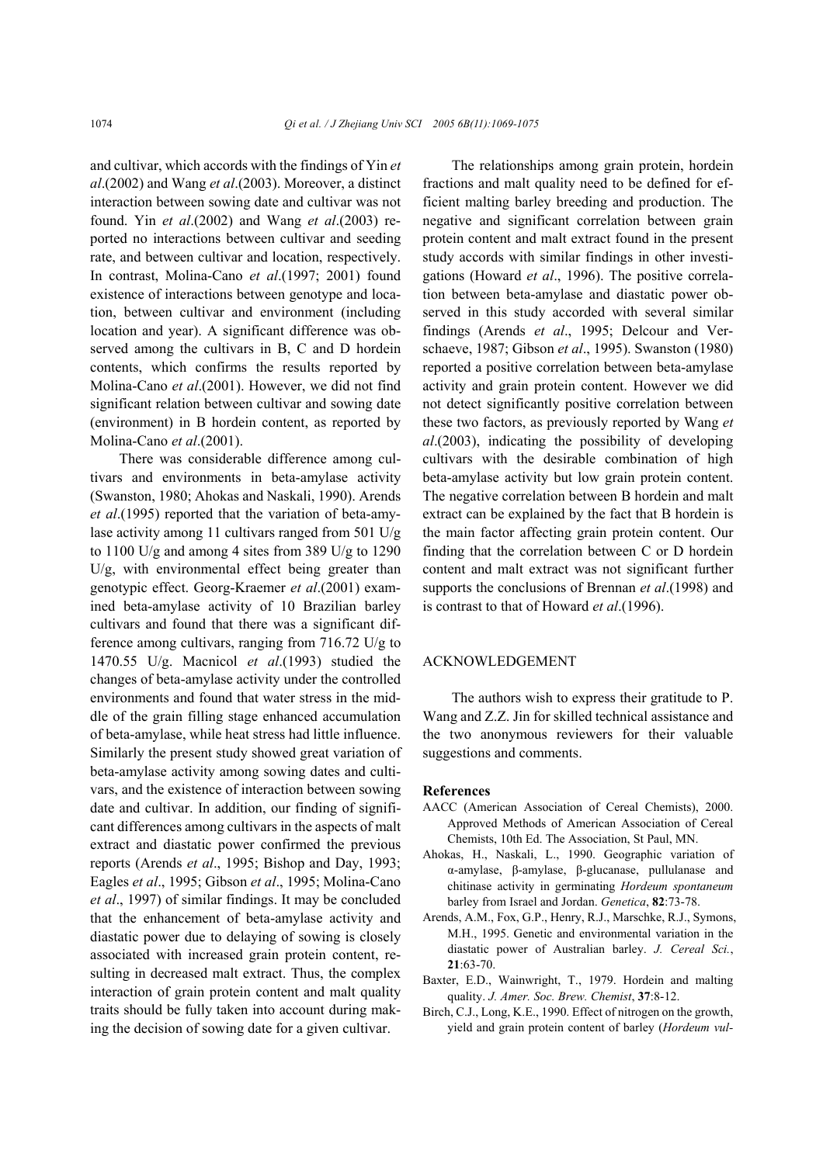and cultivar, which accords with the findings of Yin *et al*.(2002) and Wang *et al*.(2003). Moreover, a distinct interaction between sowing date and cultivar was not found. Yin *et al*.(2002) and Wang *et al*.(2003) reported no interactions between cultivar and seeding rate, and between cultivar and location, respectively. In contrast, Molina-Cano *et al*.(1997; 2001) found existence of interactions between genotype and location, between cultivar and environment (including location and year). A significant difference was observed among the cultivars in B, C and D hordein contents, which confirms the results reported by Molina-Cano *et al*.(2001). However, we did not find significant relation between cultivar and sowing date (environment) in B hordein content, as reported by Molina-Cano *et al*.(2001).

There was considerable difference among cultivars and environments in beta-amylase activity (Swanston, 1980; Ahokas and Naskali, 1990). Arends *et al*.(1995) reported that the variation of beta-amylase activity among 11 cultivars ranged from 501 U/g to 1100 U/g and among 4 sites from 389 U/g to 1290 U/g, with environmental effect being greater than genotypic effect. Georg-Kraemer *et al*.(2001) examined beta-amylase activity of 10 Brazilian barley cultivars and found that there was a significant difference among cultivars, ranging from 716.72 U/g to 1470.55 U/g. Macnicol *et al*.(1993) studied the changes of beta-amylase activity under the controlled environments and found that water stress in the middle of the grain filling stage enhanced accumulation of beta-amylase, while heat stress had little influence. Similarly the present study showed great variation of beta-amylase activity among sowing dates and cultivars, and the existence of interaction between sowing date and cultivar. In addition, our finding of significant differences among cultivars in the aspects of malt extract and diastatic power confirmed the previous reports (Arends *et al*., 1995; Bishop and Day, 1993; Eagles *et al*., 1995; Gibson *et al*., 1995; Molina-Cano *et al*., 1997) of similar findings. It may be concluded that the enhancement of beta-amylase activity and diastatic power due to delaying of sowing is closely associated with increased grain protein content, resulting in decreased malt extract. Thus, the complex interaction of grain protein content and malt quality traits should be fully taken into account during making the decision of sowing date for a given cultivar.

The relationships among grain protein, hordein fractions and malt quality need to be defined for efficient malting barley breeding and production. The negative and significant correlation between grain protein content and malt extract found in the present study accords with similar findings in other investigations (Howard *et al*., 1996). The positive correlation between beta-amylase and diastatic power observed in this study accorded with several similar findings (Arends *et al*., 1995; Delcour and Verschaeve, 1987; Gibson *et al*., 1995). Swanston (1980) reported a positive correlation between beta-amylase activity and grain protein content. However we did not detect significantly positive correlation between these two factors, as previously reported by Wang *et al*.(2003), indicating the possibility of developing cultivars with the desirable combination of high beta-amylase activity but low grain protein content. The negative correlation between B hordein and malt extract can be explained by the fact that B hordein is the main factor affecting grain protein content. Our finding that the correlation between C or D hordein content and malt extract was not significant further supports the conclusions of Brennan *et al*.(1998) and is contrast to that of Howard *et al*.(1996).

## ACKNOWLEDGEMENT

The authors wish to express their gratitude to P. Wang and Z.Z. Jin for skilled technical assistance and the two anonymous reviewers for their valuable suggestions and comments.

#### **References**

- AACC (American Association of Cereal Chemists), 2000. Approved Methods of American Association of Cereal Chemists, 10th Ed. The Association, St Paul, MN.
- Ahokas, H., Naskali, L., 1990. Geographic variation of α-amylase, β-amylase, β-glucanase, pullulanase and chitinase activity in germinating *Hordeum spontaneum* barley from Israel and Jordan. *Genetica*, **82**:73-78.
- Arends, A.M., Fox, G.P., Henry, R.J., Marschke, R.J., Symons, M.H., 1995. Genetic and environmental variation in the diastatic power of Australian barley. *J. Cereal Sci.*, **21**:63-70.
- Baxter, E.D., Wainwright, T., 1979. Hordein and malting quality. *J. Amer. Soc. Brew. Chemist*, **37**:8-12.
- Birch, C.J., Long, K.E., 1990. Effect of nitrogen on the growth, yield and grain protein content of barley (*Hordeum vul-*